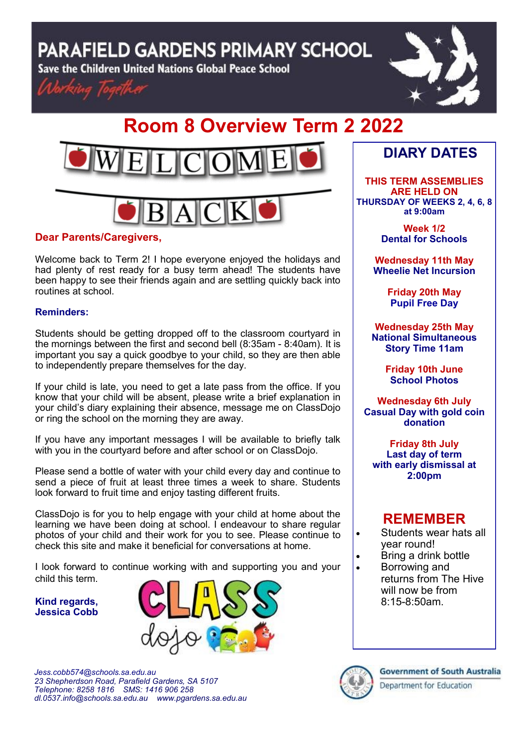**PARAFIELD GARDENS PRIMARY SCHOOL** 

Save the Children United Nations Global Peace School





# **Room 8 Overview Term 2 2022**



### **Dear Parents/Caregivers,**

Welcome back to Term 2! I hope everyone enjoyed the holidays and had plenty of rest ready for a busy term ahead! The students have been happy to see their friends again and are settling quickly back into routines at school.

#### **Reminders:**

Students should be getting dropped off to the classroom courtyard in the mornings between the first and second bell (8:35am - 8:40am). It is important you say a quick goodbye to your child, so they are then able to independently prepare themselves for the day.

If your child is late, you need to get a late pass from the office. If you know that your child will be absent, please write a brief explanation in your child's diary explaining their absence, message me on ClassDojo or ring the school on the morning they are away.

If you have any important messages I will be available to briefly talk with you in the courtyard before and after school or on ClassDojo.

Please send a bottle of water with your child every day and continue to send a piece of fruit at least three times a week to share. Students look forward to fruit time and enjoy tasting different fruits.

ClassDojo is for you to help engage with your child at home about the learning we have been doing at school. I endeavour to share regular photos of your child and their work for you to see. Please continue to check this site and make it beneficial for conversations at home.

I look forward to continue working with and supporting you and your child this term.

**Kind regards, Jessica Cobb**



*Jess.cobb574@schools.sa.edu.au 23 Shepherdson Road, Parafield Gardens, SA 5107 Telephone: 8258 1816 [SMS:](http://www.youtube.com/user/ParafieldGR7) 1416 906 258 dl[.0537.info@schools.sa.edu.au](mailto:dl.0537_info@schools.sa.edu.au) www.pgardens.sa.edu.au*

## **DIARY DATES**

**THIS TERM ASSEMBLIES ARE HELD ON THURSDAY OF WEEKS 2, 4, 6, 8 at 9:00am** 

> **Week 1/2 Dental for Schools**

**Wednesday 11th May Wheelie Net Incursion**

> **Friday 20th May Pupil Free Day**

**Wednesday 25th May National Simultaneous Story Time 11am**

> **Friday 10th June School Photos**

**Wednesday 6th July Casual Day with gold coin donation**

**Friday 8th July Last day of term with early dismissal at 2:00pm**

### **REMEMBER**

- Students wear hats all year round!
- Bring a drink bottle
- Borrowing and returns from The Hive will now be from 8:15-8:50am.

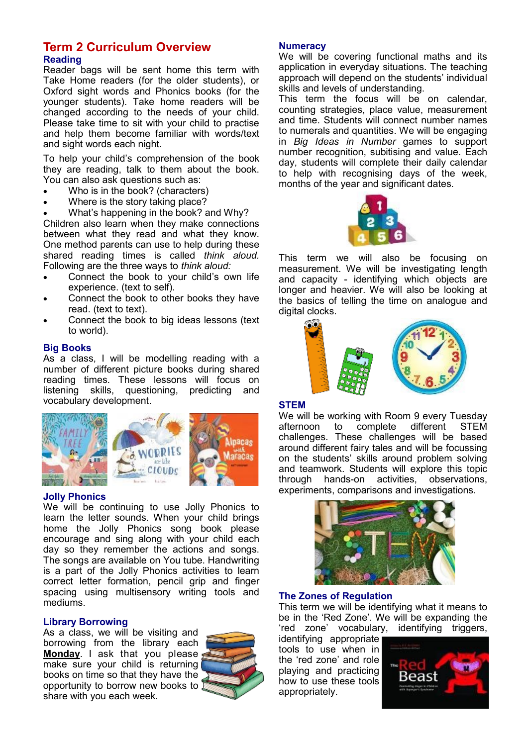#### **Term 2 Curriculum Overview Reading**

Reader bags will be sent home this term with Take Home readers (for the older students), or Oxford sight words and Phonics books (for the younger students). Take home readers will be changed according to the needs of your child. Please take time to sit with your child to practise and help them become familiar with words/text and sight words each night.

To help your child's comprehension of the book they are reading, talk to them about the book. You can also ask questions such as:

- Who is in the book? (characters)
- Where is the story taking place?
- What's happening in the book? and Why?

Children also learn when they make connections between what they read and what they know. One method parents can use to help during these shared reading times is called *think aloud.*  Following are the three ways to *think aloud:*

- Connect the book to your child's own life experience. (text to self).
- Connect the book to other books they have read. (text to text).
- Connect the book to big ideas lessons (text to world).

#### **Big Books**

As a class, I will be modelling reading with a number of different picture books during shared reading times. These lessons will focus on listening skills, questioning, predicting and vocabulary development.



#### **Jolly Phonics**

We will be continuing to use Jolly Phonics to learn the letter sounds. When your child brings home the Jolly Phonics song book please encourage and sing along with your child each day so they remember the actions and songs. The songs are available on You tube. Handwriting is a part of the Jolly Phonics activities to learn correct letter formation, pencil grip and finger spacing using multisensory writing tools and mediums.

#### **Library Borrowing**

As a class, we will be visiting and borrowing from the library each **Monday**. I ask that you please, make sure your child is returning books on time so that they have the opportunity to borrow new books to share with you each week.



#### **Numeracy**

We will be covering functional maths and its application in everyday situations. The teaching approach will depend on the students' individual skills and levels of understanding.

This term the focus will be on calendar, counting strategies, place value, measurement and time. Students will connect number names to numerals and quantities. We will be engaging in *Big Ideas in Number* games to support number recognition, subitising and value. Each day, students will complete their daily calendar to help with recognising days of the week, months of the year and significant dates.



This term we will also be focusing on measurement. We will be investigating length and capacity - identifying which objects are longer and heavier. We will also be looking at the basics of telling the time on analogue and digital clocks.

#### **STEM**

We will be working with Room 9 every Tuesday afternoon to complete different STEM challenges. These challenges will be based around different fairy tales and will be focussing on the students' skills around problem solving and teamwork. Students will explore this topic through hands-on activities, observations, experiments, comparisons and investigations.



#### **The Zones of Regulation**

This term we will be identifying what it means to be in the 'Red Zone'. We will be expanding the 'red zone' vocabulary, identifying triggers,

identifying appropriate tools to use when in the 'red zone' and role playing and practicing how to use these tools appropriately.